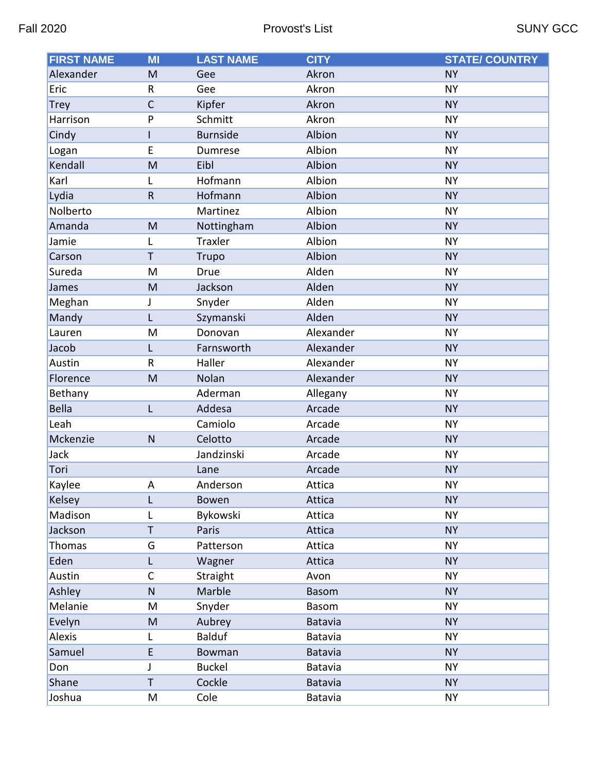| <b>FIRST NAME</b> | MI           | <b>LAST NAME</b> | <b>CITY</b>    | <b>STATE/ COUNTRY</b> |
|-------------------|--------------|------------------|----------------|-----------------------|
| Alexander         | M            | Gee              | Akron          | <b>NY</b>             |
| Eric              | R            | Gee              | Akron          | <b>NY</b>             |
| <b>Trey</b>       | $\mathsf{C}$ | Kipfer           | Akron          | <b>NY</b>             |
| Harrison          | P            | Schmitt          | Akron          | <b>NY</b>             |
| Cindy             | L            | <b>Burnside</b>  | Albion         | <b>NY</b>             |
| Logan             | E            | Dumrese          | Albion         | <b>NY</b>             |
| Kendall           | M            | Eibl             | Albion         | <b>NY</b>             |
| Karl              | L            | Hofmann          | Albion         | <b>NY</b>             |
| Lydia             | ${\sf R}$    | Hofmann          | Albion         | <b>NY</b>             |
| Nolberto          |              | Martinez         | Albion         | <b>NY</b>             |
| Amanda            | M            | Nottingham       | Albion         | <b>NY</b>             |
| Jamie             | L            | Traxler          | Albion         | <b>NY</b>             |
| Carson            | T            | <b>Trupo</b>     | Albion         | <b>NY</b>             |
| Sureda            | M            | Drue             | Alden          | <b>NY</b>             |
| James             | M            | Jackson          | Alden          | <b>NY</b>             |
| Meghan            | J            | Snyder           | Alden          | <b>NY</b>             |
| Mandy             | L            | Szymanski        | Alden          | <b>NY</b>             |
| Lauren            | M            | Donovan          | Alexander      | <b>NY</b>             |
| Jacob             | L            | Farnsworth       | Alexander      | <b>NY</b>             |
| Austin            | R            | Haller           | Alexander      | <b>NY</b>             |
| Florence          | M            | Nolan            | Alexander      | <b>NY</b>             |
| Bethany           |              | Aderman          | Allegany       | <b>NY</b>             |
| <b>Bella</b>      | L            | Addesa           | Arcade         | <b>NY</b>             |
| Leah              |              | Camiolo          | Arcade         | <b>NY</b>             |
| Mckenzie          | $\mathsf{N}$ | Celotto          | Arcade         | <b>NY</b>             |
| Jack              |              | Jandzinski       | Arcade         | <b>NY</b>             |
| Tori              |              | Lane             | Arcade         | <b>NY</b>             |
| Kaylee            | A            | Anderson         | Attica         | <b>NY</b>             |
| Kelsey            | L            | Bowen            | Attica         | <b>NY</b>             |
| Madison           | L            | Bykowski         | Attica         | <b>NY</b>             |
| Jackson           | T            | Paris            | Attica         | <b>NY</b>             |
| Thomas            | G            | Patterson        | Attica         | <b>NY</b>             |
| Eden              | L            | Wagner           | Attica         | <b>NY</b>             |
| Austin            | $\mathsf C$  | Straight         | Avon           | <b>NY</b>             |
| Ashley            | ${\sf N}$    | Marble           | <b>Basom</b>   | <b>NY</b>             |
| Melanie           | M            | Snyder           | Basom          | <b>NY</b>             |
| Evelyn            | M            | Aubrey           | Batavia        | <b>NY</b>             |
| Alexis            | L            | <b>Balduf</b>    | Batavia        | <b>NY</b>             |
| Samuel            | E            | <b>Bowman</b>    | <b>Batavia</b> | <b>NY</b>             |
| Don               | J            | <b>Buckel</b>    | Batavia        | <b>NY</b>             |
| Shane             | Τ            | Cockle           | Batavia        | <b>NY</b>             |
| Joshua            | M            | Cole             | Batavia        | <b>NY</b>             |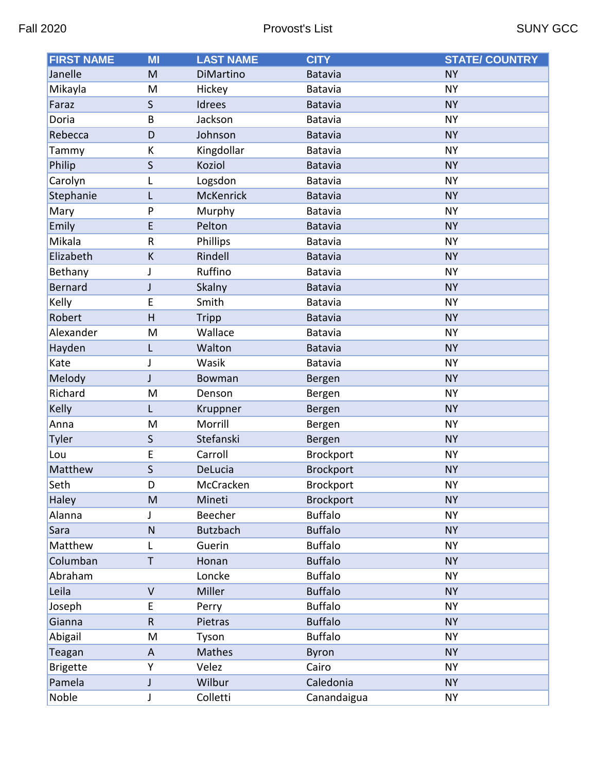| <b>FIRST NAME</b> | MI                        | <b>LAST NAME</b> | <b>CITY</b>      | <b>STATE/ COUNTRY</b> |
|-------------------|---------------------------|------------------|------------------|-----------------------|
| Janelle           | M                         | DiMartino        | <b>Batavia</b>   | <b>NY</b>             |
| Mikayla           | M                         | Hickey           | Batavia          | <b>NY</b>             |
| Faraz             | S                         | Idrees           | Batavia          | <b>NY</b>             |
| Doria             | B                         | Jackson          | Batavia          | <b>NY</b>             |
| Rebecca           | D                         | Johnson          | <b>Batavia</b>   | <b>NY</b>             |
| Tammy             | К                         | Kingdollar       | Batavia          | <b>NY</b>             |
| Philip            | $\mathsf{S}$              | Koziol           | Batavia          | <b>NY</b>             |
| Carolyn           | L                         | Logsdon          | Batavia          | <b>NY</b>             |
| Stephanie         | L                         | <b>McKenrick</b> | <b>Batavia</b>   | <b>NY</b>             |
| Mary              | P                         | Murphy           | Batavia          | <b>NY</b>             |
| Emily             | E                         | Pelton           | <b>Batavia</b>   | <b>NY</b>             |
| Mikala            | $\sf R$                   | Phillips         | Batavia          | <b>NY</b>             |
| Elizabeth         | К                         | Rindell          | <b>Batavia</b>   | <b>NY</b>             |
| Bethany           | J                         | Ruffino          | Batavia          | <b>NY</b>             |
| <b>Bernard</b>    | J                         | Skalny           | Batavia          | <b>NY</b>             |
| Kelly             | E                         | Smith            | Batavia          | <b>NY</b>             |
| Robert            | H                         | <b>Tripp</b>     | Batavia          | <b>NY</b>             |
| Alexander         | M                         | Wallace          | Batavia          | <b>NY</b>             |
| Hayden            | L                         | Walton           | <b>Batavia</b>   | <b>NY</b>             |
| Kate              | J                         | Wasik            | Batavia          | <b>NY</b>             |
| Melody            | J                         | Bowman           | <b>Bergen</b>    | <b>NY</b>             |
| Richard           | M                         | Denson           | Bergen           | <b>NY</b>             |
| Kelly             | L                         | Kruppner         | Bergen           | <b>NY</b>             |
| Anna              | M                         | Morrill          | Bergen           | <b>NY</b>             |
| <b>Tyler</b>      | $\mathsf{S}$              | Stefanski        | Bergen           | <b>NY</b>             |
| Lou               | E                         | Carroll          | Brockport        | <b>NY</b>             |
| Matthew           | S                         | DeLucia          | <b>Brockport</b> | <b>NY</b>             |
| Seth              | D                         | McCracken        | Brockport        | <b>NY</b>             |
| Haley             | M                         | Mineti           | <b>Brockport</b> | <b>NY</b>             |
| Alanna            | J                         | Beecher          | <b>Buffalo</b>   | <b>NY</b>             |
| Sara              | $\mathsf{N}$              | <b>Butzbach</b>  | <b>Buffalo</b>   | <b>NY</b>             |
| Matthew           | L                         | Guerin           | <b>Buffalo</b>   | <b>NY</b>             |
| Columban          | T                         | Honan            | <b>Buffalo</b>   | <b>NY</b>             |
| Abraham           |                           | Loncke           | <b>Buffalo</b>   | <b>NY</b>             |
| Leila             | $\vee$                    | Miller           | <b>Buffalo</b>   | <b>NY</b>             |
| Joseph            | E                         | Perry            | <b>Buffalo</b>   | <b>NY</b>             |
| Gianna            | $\mathsf R$               | Pietras          | <b>Buffalo</b>   | <b>NY</b>             |
| Abigail           | M                         | Tyson            | <b>Buffalo</b>   | <b>NY</b>             |
| Teagan            | $\boldsymbol{\mathsf{A}}$ | Mathes           | <b>Byron</b>     | <b>NY</b>             |
| <b>Brigette</b>   | Υ                         | Velez            | Cairo            | <b>NY</b>             |
| Pamela            | J                         | Wilbur           | Caledonia        | <b>NY</b>             |
| Noble             | J                         | Colletti         | Canandaigua      | <b>NY</b>             |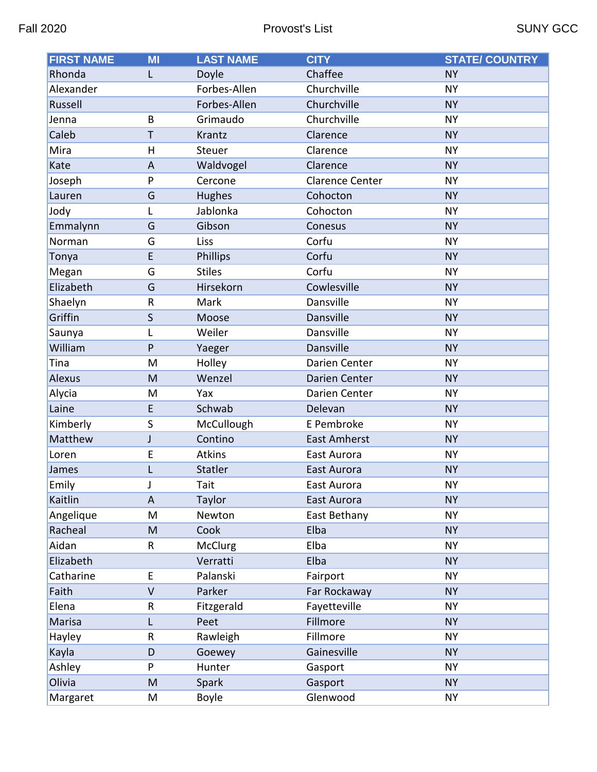| <b>FIRST NAME</b> | MI             | <b>LAST NAME</b> | <b>CITY</b>            | <b>STATE/ COUNTRY</b> |
|-------------------|----------------|------------------|------------------------|-----------------------|
| Rhonda            | L              | Doyle            | Chaffee                | <b>NY</b>             |
| Alexander         |                | Forbes-Allen     | Churchville            | <b>NY</b>             |
| Russell           |                | Forbes-Allen     | Churchville            | <b>NY</b>             |
| Jenna             | B              | Grimaudo         | Churchville            | <b>NY</b>             |
| Caleb             | T              | Krantz           | Clarence               | <b>NY</b>             |
| Mira              | $\mathsf{H}$   | Steuer           | Clarence               | <b>NY</b>             |
| Kate              | $\overline{A}$ | Waldvogel        | Clarence               | <b>NY</b>             |
| Joseph            | P              | Cercone          | <b>Clarence Center</b> | <b>NY</b>             |
| Lauren            | G              | Hughes           | Cohocton               | <b>NY</b>             |
| Jody              | L              | Jablonka         | Cohocton               | <b>NY</b>             |
| Emmalynn          | G              | Gibson           | Conesus                | <b>NY</b>             |
| Norman            | G              | Liss             | Corfu                  | <b>NY</b>             |
| Tonya             | E              | <b>Phillips</b>  | Corfu                  | <b>NY</b>             |
| Megan             | G              | <b>Stiles</b>    | Corfu                  | <b>NY</b>             |
| Elizabeth         | G              | Hirsekorn        | Cowlesville            | <b>NY</b>             |
| Shaelyn           | R              | Mark             | Dansville              | <b>NY</b>             |
| Griffin           | $\mathsf{S}$   | Moose            | Dansville              | <b>NY</b>             |
| Saunya            | L              | Weiler           | Dansville              | <b>NY</b>             |
| William           | P              | Yaeger           | Dansville              | <b>NY</b>             |
| Tina              | M              | Holley           | Darien Center          | <b>NY</b>             |
| Alexus            | M              | Wenzel           | Darien Center          | <b>NY</b>             |
| Alycia            | M              | Yax              | Darien Center          | <b>NY</b>             |
| Laine             | E              | Schwab           | Delevan                | <b>NY</b>             |
| Kimberly          | S              | McCullough       | E Pembroke             | <b>NY</b>             |
| Matthew           | J              | Contino          | <b>East Amherst</b>    | <b>NY</b>             |
| Loren             | E              | <b>Atkins</b>    | East Aurora            | <b>NY</b>             |
| James             | L              | Statler          | East Aurora            | <b>NY</b>             |
| Emily             |                | Tait             | East Aurora            | <b>NY</b>             |
| Kaitlin           | A              | Taylor           | East Aurora            | <b>NY</b>             |
| Angelique         | M              | Newton           | East Bethany           | <b>NY</b>             |
| Racheal           | M              | Cook             | Elba                   | <b>NY</b>             |
| Aidan             | R              | <b>McClurg</b>   | Elba                   | <b>NY</b>             |
| Elizabeth         |                | Verratti         | Elba                   | <b>NY</b>             |
| Catharine         | E              | Palanski         | Fairport               | <b>NY</b>             |
| Faith             | $\vee$         | Parker           | Far Rockaway           | <b>NY</b>             |
| Elena             | R              | Fitzgerald       | Fayetteville           | <b>NY</b>             |
| Marisa            | L              | Peet             | Fillmore               | <b>NY</b>             |
| Hayley            | R              | Rawleigh         | Fillmore               | <b>NY</b>             |
| Kayla             | D              | Goewey           | Gainesville            | <b>NY</b>             |
| Ashley            | P              | Hunter           | Gasport                | <b>NY</b>             |
| Olivia            | M              | Spark            | Gasport                | <b>NY</b>             |
| Margaret          | M              | Boyle            | Glenwood               | <b>NY</b>             |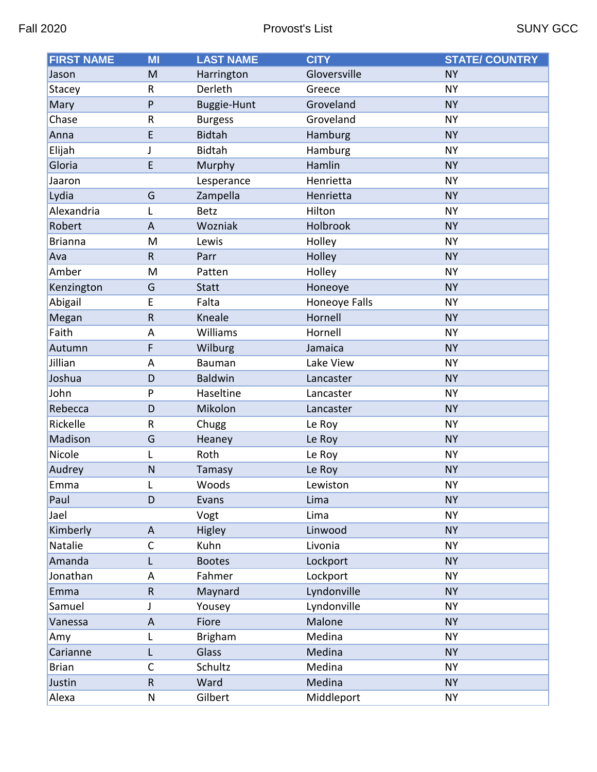| <b>FIRST NAME</b> | MI           | <b>LAST NAME</b>   | <b>CITY</b>   | <b>STATE/ COUNTRY</b> |
|-------------------|--------------|--------------------|---------------|-----------------------|
| Jason             | M            | Harrington         | Gloversville  | <b>NY</b>             |
| Stacey            | $\sf R$      | Derleth            | Greece        | <b>NY</b>             |
| Mary              | P            | <b>Buggie-Hunt</b> | Groveland     | <b>NY</b>             |
| Chase             | ${\sf R}$    | <b>Burgess</b>     | Groveland     | <b>NY</b>             |
| Anna              | E            | <b>Bidtah</b>      | Hamburg       | <b>NY</b>             |
| Elijah            | J            | Bidtah             | Hamburg       | <b>NY</b>             |
| Gloria            | E            | Murphy             | Hamlin        | <b>NY</b>             |
| Jaaron            |              | Lesperance         | Henrietta     | <b>NY</b>             |
| Lydia             | G            | Zampella           | Henrietta     | <b>NY</b>             |
| Alexandria        | L            | <b>Betz</b>        | Hilton        | <b>NY</b>             |
| Robert            | A            | Wozniak            | Holbrook      | <b>NY</b>             |
| <b>Brianna</b>    | M            | Lewis              | Holley        | <b>NY</b>             |
| Ava               | $\mathsf R$  | Parr               | Holley        | <b>NY</b>             |
| Amber             | M            | Patten             | Holley        | <b>NY</b>             |
| Kenzington        | G            | <b>Statt</b>       | Honeoye       | <b>NY</b>             |
| Abigail           | E            | Falta              | Honeoye Falls | <b>NY</b>             |
| Megan             | $\mathsf R$  | Kneale             | Hornell       | <b>NY</b>             |
| Faith             | A            | Williams           | Hornell       | <b>NY</b>             |
| Autumn            | F            | Wilburg            | Jamaica       | <b>NY</b>             |
| Jillian           | A            | Bauman             | Lake View     | <b>NY</b>             |
| Joshua            | D            | <b>Baldwin</b>     | Lancaster     | <b>NY</b>             |
| John              | P            | Haseltine          | Lancaster     | <b>NY</b>             |
| Rebecca           | D            | Mikolon            | Lancaster     | <b>NY</b>             |
| Rickelle          | ${\sf R}$    | Chugg              | Le Roy        | <b>NY</b>             |
| Madison           | G            | Heaney             | Le Roy        | <b>NY</b>             |
| Nicole            | L            | Roth               | Le Roy        | <b>NY</b>             |
| Audrey            | ${\sf N}$    | Tamasy             | Le Roy        | <b>NY</b>             |
| Emma              |              | Woods              | Lewiston      | <b>NY</b>             |
| Paul              | D            | Evans              | Lima          | <b>NY</b>             |
| Jael              |              | Vogt               | Lima          | <b>NY</b>             |
| Kimberly          | A            | Higley             | Linwood       | <b>NY</b>             |
| Natalie           | $\mathsf{C}$ | Kuhn               | Livonia       | <b>NY</b>             |
| Amanda            | L            | <b>Bootes</b>      | Lockport      | <b>NY</b>             |
| Jonathan          | A            | Fahmer             | Lockport      | <b>NY</b>             |
| Emma              | $\mathsf{R}$ | Maynard            | Lyndonville   | <b>NY</b>             |
| Samuel            | J            | Yousey             | Lyndonville   | <b>NY</b>             |
| Vanessa           | $\mathsf{A}$ | Fiore              | Malone        | <b>NY</b>             |
| Amy               | L            | <b>Brigham</b>     | Medina        | <b>NY</b>             |
| Carianne          | L            | Glass              | Medina        | <b>NY</b>             |
| <b>Brian</b>      | $\mathsf C$  | Schultz            | Medina        | <b>NY</b>             |
| Justin            | ${\sf R}$    | Ward               | Medina        | <b>NY</b>             |
| Alexa             | ${\sf N}$    | Gilbert            | Middleport    | <b>NY</b>             |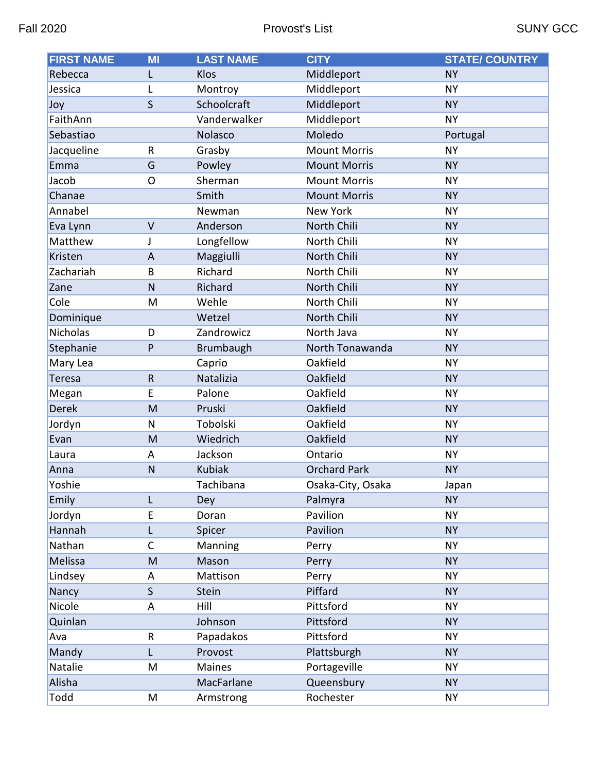| <b>FIRST NAME</b> | MI           | <b>LAST NAME</b> | <b>CITY</b>         | <b>STATE/ COUNTRY</b> |
|-------------------|--------------|------------------|---------------------|-----------------------|
| Rebecca           | L            | Klos             | Middleport          | <b>NY</b>             |
| Jessica           | L            | Montroy          | Middleport          | <b>NY</b>             |
| Joy               | $\mathsf{S}$ | Schoolcraft      | Middleport          | <b>NY</b>             |
| FaithAnn          |              | Vanderwalker     | Middleport          | <b>NY</b>             |
| Sebastiao         |              | Nolasco          | Moledo              | Portugal              |
| Jacqueline        | $\mathsf{R}$ | Grasby           | <b>Mount Morris</b> | <b>NY</b>             |
| Emma              | G            | Powley           | <b>Mount Morris</b> | <b>NY</b>             |
| Jacob             | $\mathsf{O}$ | Sherman          | <b>Mount Morris</b> | <b>NY</b>             |
| Chanae            |              | Smith            | <b>Mount Morris</b> | <b>NY</b>             |
| Annabel           |              | Newman           | <b>New York</b>     | <b>NY</b>             |
| Eva Lynn          | $\vee$       | Anderson         | North Chili         | <b>NY</b>             |
| Matthew           | J            | Longfellow       | North Chili         | <b>NY</b>             |
| Kristen           | A            | Maggiulli        | North Chili         | <b>NY</b>             |
| Zachariah         | B            | Richard          | North Chili         | <b>NY</b>             |
| Zane              | N            | Richard          | North Chili         | <b>NY</b>             |
| Cole              | M            | Wehle            | North Chili         | <b>NY</b>             |
| Dominique         |              | Wetzel           | North Chili         | <b>NY</b>             |
| Nicholas          | D            | Zandrowicz       | North Java          | <b>NY</b>             |
| Stephanie         | P            | Brumbaugh        | North Tonawanda     | <b>NY</b>             |
| Mary Lea          |              | Caprio           | Oakfield            | <b>NY</b>             |
| <b>Teresa</b>     | $\mathsf R$  | Natalizia        | Oakfield            | <b>NY</b>             |
| Megan             | E            | Palone           | Oakfield            | <b>NY</b>             |
| <b>Derek</b>      | M            | Pruski           | Oakfield            | <b>NY</b>             |
| Jordyn            | N            | Tobolski         | Oakfield            | <b>NY</b>             |
| Evan              | M            | Wiedrich         | Oakfield            | <b>NY</b>             |
| Laura             | A            | Jackson          | Ontario             | <b>NY</b>             |
| Anna              | N            | <b>Kubiak</b>    | <b>Orchard Park</b> | <b>NY</b>             |
| Yoshie            |              | Tachibana        | Osaka-City, Osaka   | Japan                 |
| Emily             | L            | Dey              | Palmyra             | <b>NY</b>             |
| Jordyn            | E            | Doran            | Pavilion            | <b>NY</b>             |
| Hannah            | L            | Spicer           | Pavilion            | <b>NY</b>             |
| Nathan            | $\mathsf C$  | Manning          | Perry               | <b>NY</b>             |
| Melissa           | M            | Mason            | Perry               | <b>NY</b>             |
| Lindsey           | Α            | Mattison         | Perry               | <b>NY</b>             |
| Nancy             | $\mathsf{S}$ | Stein            | Piffard             | <b>NY</b>             |
| Nicole            | Α            | Hill             | Pittsford           | <b>NY</b>             |
| Quinlan           |              | Johnson          | Pittsford           | <b>NY</b>             |
| Ava               | R            | Papadakos        | Pittsford           | <b>NY</b>             |
| Mandy             | L            | Provost          | Plattsburgh         | <b>NY</b>             |
| Natalie           | M            | Maines           | Portageville        | <b>NY</b>             |
| Alisha            |              | MacFarlane       | Queensbury          | <b>NY</b>             |
| Todd              | M            | Armstrong        | Rochester           | <b>NY</b>             |